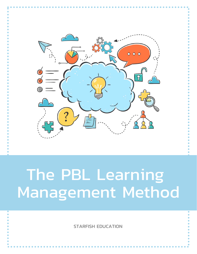

# The PBL Learning Management Method

STARFISH EDUCATION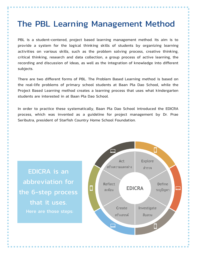# The PBL Learning Management Method

PBL is a student-centered, project based learning management method. Its aim is to provide a system for the logical thinking skills of students by organizing learning activities on various skills, such as the problem solving process, creative thinking, critical thinking, research and data collection, a group process of active learning, the recording and discussion of ideas, as well as the integration of knowledge into different subjects.

There are two different forms of PBL. The Problem Based Learning method is based on the real-life problems of primary school students at Baan Pla Dao School, while the Project Based Learning method creates a learning process that uses what kindergarten students are interested in at Baan Pla Dao School.

In order to practice these systematically, Baan Pla Dao School introduced the EDICRA process, which was invented as a guideline for project management by Dr. Prae Seributra, president of Starfish Country Home School Foundation.

EDICRA is an abbreviation for the 6-step process that it uses. Here are those steps:

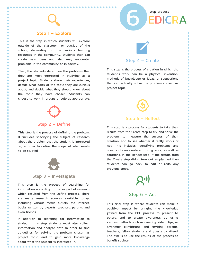Step 1 – Explore

This is the step in which students will explore outside of the classroom or outside of the school, depending on the various learning resources in the community. Students then can create new ideas and also may encounter problems in the community or in society.

Then, the students determine the problems that they are most interested in studying as a project topic. Students share their experiences, decide what parts of the topic they are curious about, and decide what they should know about the topic they have chosen. Students can choose to work in groups or solo as appropriate.



## Step 2 – Define

This step is the process of defining the problem. It includes specifying the subject of research about the problem that the student is interested in, in order to define the scope of what needs to be studied.



#### Step 3 – Investigate

This step is the process of searching for information according to the subject of research which resulted from the Define process. There are many research sources available today, including various media outlets, the internet, books written by experts, teachers, parents and even friends.

In addition to searching for information to study, in this step students must also collect information and analyze data in order to find guidelines for solving the problem chosen as project topic, and to gain more knowledge about what the student is interested in.

## Step 4 – Create

step process

EDICRA

6

This step is the process of creation in which the student's work can be a physical invention, methods of knowledge or ideas, or suggestions that can actually solve the problem chosen as project topic.



This step is a process for students to take their results from the Create step to try and solve the problem, to measure the success of their creation, and to see whether it really works or not. This includes identifying problems and constraints encountered during work, as well as solutions. In the Reflect step, if the results from the Create step didn't turn out as planned then students can go back to edit or redo any previous steps.



#### Step 6 – Act

This final step is where students can make a positive impact by bringing the knowledge gained from the PBL process to present to others, and to create awareness by using various methods such as creating video clips, or arranging exhibitions and inviting parents, teachers, fellow students and guests to attend. The aim is to use the results of the process to benefit society.

.............